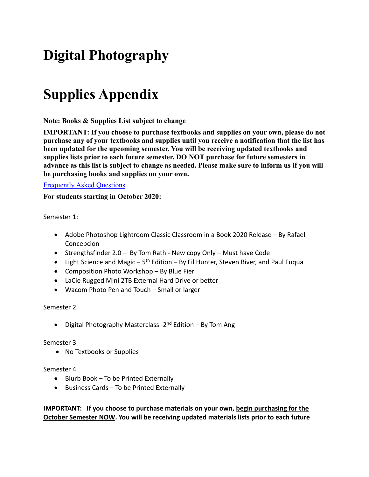# **Digital Photography**

## **Supplies Appendix**

**Note: Books & Supplies List subject to change**

**IMPORTANT: If you choose to purchase textbooks and supplies on your own, please do not purchase any of your textbooks and supplies until you receive a notification that the list has been updated for the upcoming semester. You will be receiving updated textbooks and supplies lists prior to each future semester. DO NOT purchase for future semesters in advance as this list is subject to change as needed. Please make sure to inform us if you will be purchasing books and supplies on your own.**

#### [Frequently Asked Questions](https://digitalartschool.com/booksandsuppliesfaq)

**For students starting in October 2020:**

Semester 1:

- Adobe Photoshop Lightroom Classic Classroom in a Book 2020 Release By Rafael Concepcion
- Strengthsfinder 2.0 By Tom Rath New copy Only Must have Code
- Light Science and Magic  $5<sup>th</sup>$  Edition By Fil Hunter, Steven Biver, and Paul Fugua
- Composition Photo Workshop By Blue Fier
- LaCie Rugged Mini 2TB External Hard Drive or better
- Wacom Photo Pen and Touch Small or larger

#### Semester 2

• Digital Photography Masterclass -2<sup>nd</sup> Edition – By Tom Ang

#### Semester 3

• No Textbooks or Supplies

#### Semester 4

- Blurb Book To be Printed Externally
- Business Cards To be Printed Externally

**IMPORTANT: If you choose to purchase materials on your own, begin purchasing for the October Semester NOW. You will be receiving updated materials lists prior to each future**